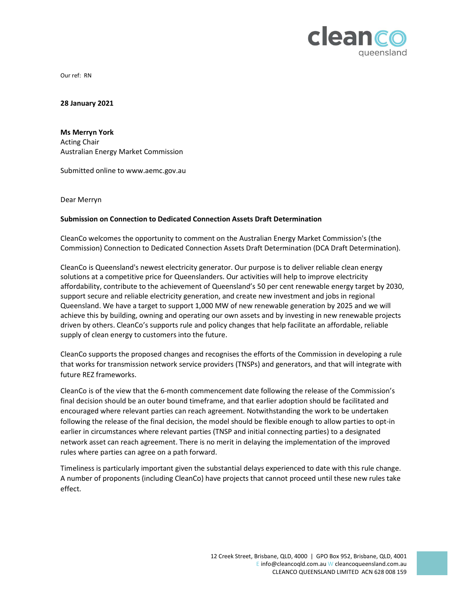

Our ref: RN

28 January 2021

Ms Merryn York Acting Chair Australian Energy Market Commission

Submitted online to www.aemc.gov.au

## Dear Merryn<br>Submission on Connection to Dedicated Connection Assets Draft Determination

CleanCo welcomes the opportunity to comment on the Australian Energy Market Commission's (the Commission) Connection to Dedicated Connection Assets Draft Determination (DCA Draft Determination).

CleanCo is Queensland's newest electricity generator. Our purpose is to deliver reliable clean energy solutions at a competitive price for Queenslanders. Our activities will help to improve electricity affordability, contribute to the achievement of Queensland's 50 per cent renewable energy target by 2030, support secure and reliable electricity generation, and create new investment and jobs in regional Queensland. We have a target to support 1,000 MW of new renewable generation by 2025 and we will achieve this by building, owning and operating our own assets and by investing in new renewable projects driven by others. CleanCo's supports rule and policy changes that help facilitate an affordable, reliable supply of clean energy to customers into the future.

CleanCo supports the proposed changes and recognises the efforts of the Commission in developing a rule that works for transmission network service providers (TNSPs) and generators, and that will integrate with future REZ frameworks.

CleanCo is of the view that the 6-month commencement date following the release of the Commission's final decision should be an outer bound timeframe, and that earlier adoption should be facilitated and encouraged where relevant parties can reach agreement. Notwithstanding the work to be undertaken following the release of the final decision, the model should be flexible enough to allow parties to opt-in earlier in circumstances where relevant parties (TNSP and initial connecting parties) to a designated network asset can reach agreement. There is no merit in delaying the implementation of the improved rules where parties can agree on a path forward.

Timeliness is particularly important given the substantial delays experienced to date with this rule change. A number of proponents (including CleanCo) have projects that cannot proceed until these new rules take effect.